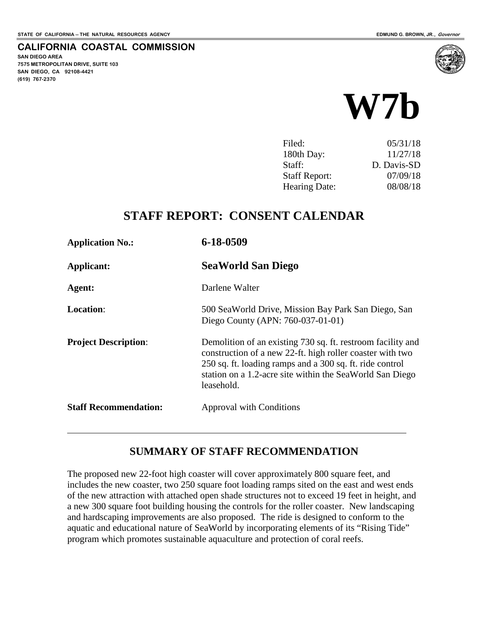**SAN DIEGO AREA**

**(619) 767-2370**

**7575 METROPOLITAN DRIVE, SUITE 103 SAN DIEGO, CA 92108-4421**

 $\overline{a}$ 

**CALIFORNIA COASTAL COMMISSION**



| Filed:               | 05/31/18    |
|----------------------|-------------|
| 180th Day:           | 11/27/18    |
| Staff:               | D. Davis-SD |
| <b>Staff Report:</b> | 07/09/18    |
| Hearing Date:        | 08/08/18    |

## **STAFF REPORT: CONSENT CALENDAR**

| <b>Application No.:</b>      | 6-18-0509                                                                                                                                                                                                                                                      |
|------------------------------|----------------------------------------------------------------------------------------------------------------------------------------------------------------------------------------------------------------------------------------------------------------|
| Applicant:                   | <b>SeaWorld San Diego</b>                                                                                                                                                                                                                                      |
| Agent:                       | Darlene Walter                                                                                                                                                                                                                                                 |
| <b>Location:</b>             | 500 SeaWorld Drive, Mission Bay Park San Diego, San<br>Diego County (APN: 760-037-01-01)                                                                                                                                                                       |
| <b>Project Description:</b>  | Demolition of an existing 730 sq. ft. restroom facility and<br>construction of a new 22-ft. high roller coaster with two<br>250 sq. ft. loading ramps and a 300 sq. ft. ride control<br>station on a 1.2-acre site within the SeaWorld San Diego<br>leasehold. |
| <b>Staff Recommendation:</b> | Approval with Conditions                                                                                                                                                                                                                                       |

### **SUMMARY OF STAFF RECOMMENDATION**

The proposed new 22-foot high coaster will cover approximately 800 square feet, and includes the new coaster, two 250 square foot loading ramps sited on the east and west ends of the new attraction with attached open shade structures not to exceed 19 feet in height, and a new 300 square foot building housing the controls for the roller coaster. New landscaping and hardscaping improvements are also proposed. The ride is designed to conform to the aquatic and educational nature of SeaWorld by incorporating elements of its "Rising Tide" program which promotes sustainable aquaculture and protection of coral reefs.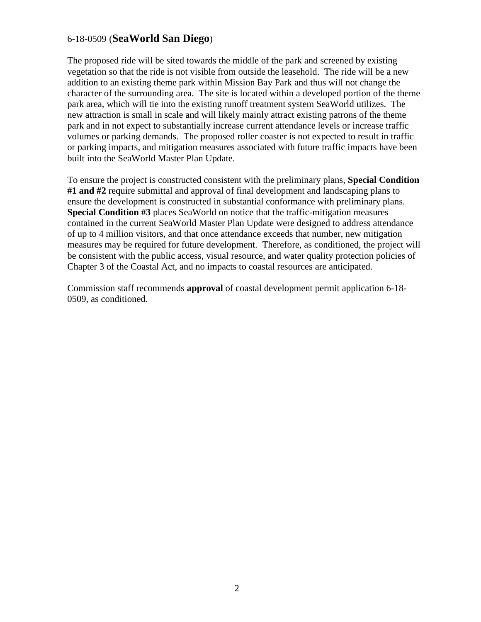The proposed ride will be sited towards the middle of the park and screened by existing vegetation so that the ride is not visible from outside the leasehold. The ride will be a new addition to an existing theme park within Mission Bay Park and thus will not change the character of the surrounding area. The site is located within a developed portion of the theme park area, which will tie into the existing runoff treatment system SeaWorld utilizes. The new attraction is small in scale and will likely mainly attract existing patrons of the theme park and in not expect to substantially increase current attendance levels or increase traffic volumes or parking demands. The proposed roller coaster is not expected to result in traffic or parking impacts, and mitigation measures associated with future traffic impacts have been built into the SeaWorld Master Plan Update.

To ensure the project is constructed consistent with the preliminary plans, **Special Condition #1 and #2** require submittal and approval of final development and landscaping plans to ensure the development is constructed in substantial conformance with preliminary plans. **Special Condition #3** places SeaWorld on notice that the traffic-mitigation measures contained in the current SeaWorld Master Plan Update were designed to address attendance of up to 4 million visitors, and that once attendance exceeds that number, new mitigation measures may be required for future development. Therefore, as conditioned, the project will be consistent with the public access, visual resource, and water quality protection policies of Chapter 3 of the Coastal Act, and no impacts to coastal resources are anticipated.

Commission staff recommends **approval** of coastal development permit application 6-18- 0509, as conditioned.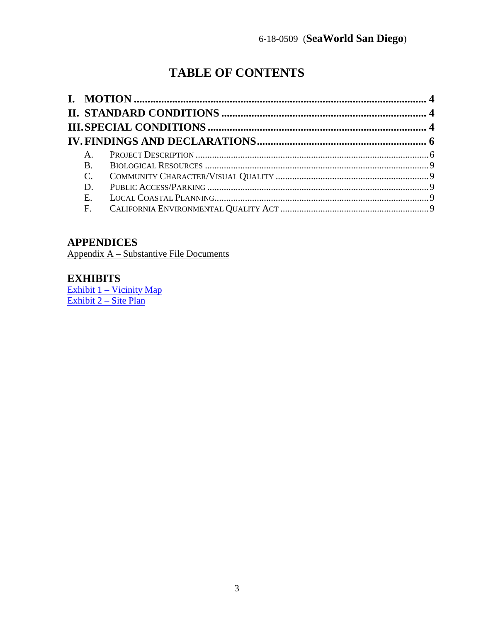# **TABLE OF CONTENTS**

| $A_{1}$     |  |
|-------------|--|
| <b>B</b> .  |  |
| $C_{\cdot}$ |  |
| D.          |  |
| Ε.          |  |
| F.          |  |

## **APPENDICES**

Appendix A – Substantive File Documents

## **EXHIBITS**

 $\frac{Exhibit 1 - Vicinity Map}{Exhibit 2 - Site Plan}$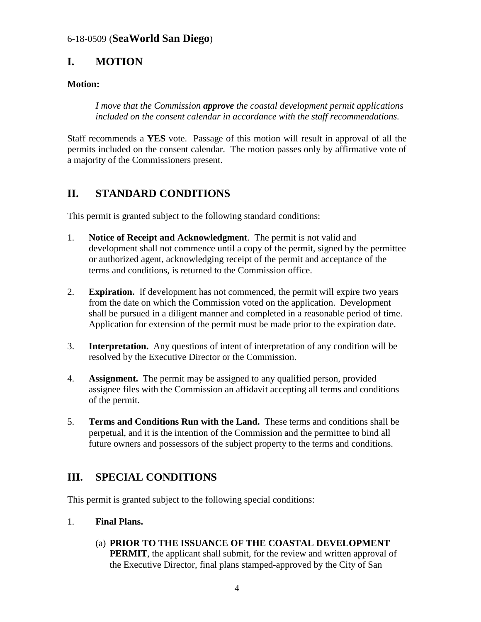## <span id="page-3-0"></span>**I. MOTION**

### **Motion:**

*I move that the Commission approve the coastal development permit applications included on the consent calendar in accordance with the staff recommendations.* 

Staff recommends a **YES** vote. Passage of this motion will result in approval of all the permits included on the consent calendar. The motion passes only by affirmative vote of a majority of the Commissioners present.

## <span id="page-3-1"></span>**II. STANDARD CONDITIONS**

This permit is granted subject to the following standard conditions:

- 1. **Notice of Receipt and Acknowledgment**. The permit is not valid and development shall not commence until a copy of the permit, signed by the permittee or authorized agent, acknowledging receipt of the permit and acceptance of the terms and conditions, is returned to the Commission office.
- 2. **Expiration.** If development has not commenced, the permit will expire two years from the date on which the Commission voted on the application. Development shall be pursued in a diligent manner and completed in a reasonable period of time. Application for extension of the permit must be made prior to the expiration date.
- 3. **Interpretation.** Any questions of intent of interpretation of any condition will be resolved by the Executive Director or the Commission.
- 4. **Assignment.** The permit may be assigned to any qualified person, provided assignee files with the Commission an affidavit accepting all terms and conditions of the permit.
- 5. **Terms and Conditions Run with the Land.** These terms and conditions shall be perpetual, and it is the intention of the Commission and the permittee to bind all future owners and possessors of the subject property to the terms and conditions.

## <span id="page-3-2"></span>**III. SPECIAL CONDITIONS**

This permit is granted subject to the following special conditions:

- 1. **Final Plans.** 
	- (a) **PRIOR TO THE ISSUANCE OF THE COASTAL DEVELOPMENT PERMIT**, the applicant shall submit, for the review and written approval of the Executive Director, final plans stamped-approved by the City of San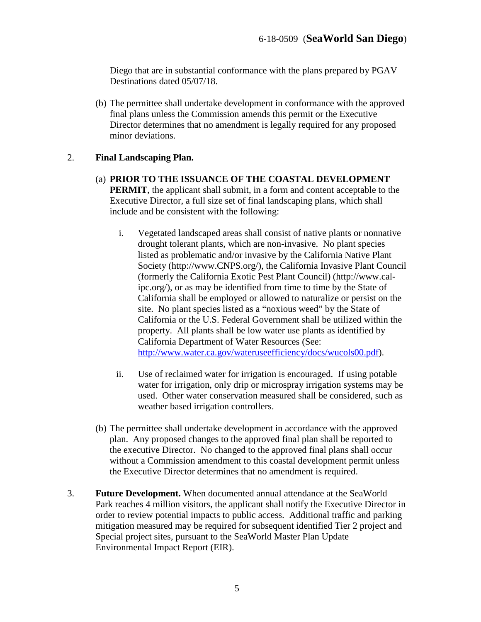Diego that are in substantial conformance with the plans prepared by PGAV Destinations dated 05/07/18.

(b) The permittee shall undertake development in conformance with the approved final plans unless the Commission amends this permit or the Executive Director determines that no amendment is legally required for any proposed minor deviations.

#### 2. **Final Landscaping Plan.**

- (a) **PRIOR TO THE ISSUANCE OF THE COASTAL DEVELOPMENT PERMIT**, the applicant shall submit, in a form and content acceptable to the Executive Director, a full size set of final landscaping plans, which shall include and be consistent with the following:
	- i. Vegetated landscaped areas shall consist of native plants or nonnative drought tolerant plants, which are non-invasive. No plant species listed as problematic and/or invasive by the California Native Plant Society (http://www.CNPS.org/), the California Invasive Plant Council (formerly the California Exotic Pest Plant Council) (http://www.calipc.org/), or as may be identified from time to time by the State of California shall be employed or allowed to naturalize or persist on the site. No plant species listed as a "noxious weed" by the State of California or the U.S. Federal Government shall be utilized within the property. All plants shall be low water use plants as identified by California Department of Water Resources (See: [http://www.water.ca.gov/wateruseefficiency/docs/wucols00.pdf\)](http://www.water.ca.gov/wateruseefficiency/docs/wucols00.pdf).
	- ii. Use of reclaimed water for irrigation is encouraged. If using potable water for irrigation, only drip or microspray irrigation systems may be used. Other water conservation measured shall be considered, such as weather based irrigation controllers.
- (b) The permittee shall undertake development in accordance with the approved plan. Any proposed changes to the approved final plan shall be reported to the executive Director. No changed to the approved final plans shall occur without a Commission amendment to this coastal development permit unless the Executive Director determines that no amendment is required.
- 3. **Future Development.** When documented annual attendance at the SeaWorld Park reaches 4 million visitors, the applicant shall notify the Executive Director in order to review potential impacts to public access. Additional traffic and parking mitigation measured may be required for subsequent identified Tier 2 project and Special project sites, pursuant to the SeaWorld Master Plan Update Environmental Impact Report (EIR).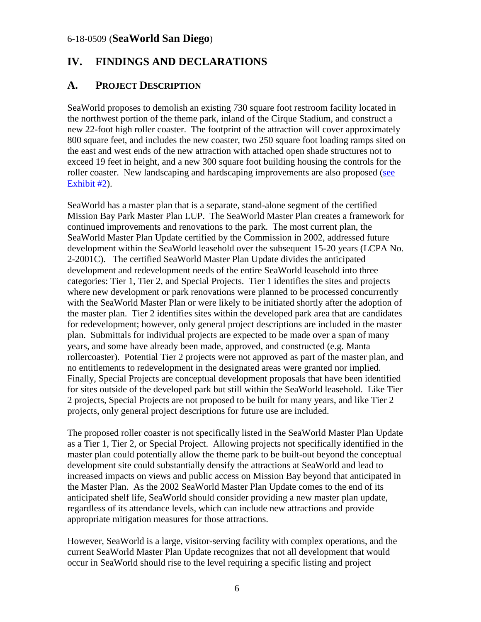## <span id="page-5-0"></span>**IV. FINDINGS AND DECLARATIONS**

### <span id="page-5-1"></span>**A. PROJECT DESCRIPTION**

SeaWorld proposes to demolish an existing 730 square foot restroom facility located in the northwest portion of the theme park, inland of the Cirque Stadium, and construct a new 22-foot high roller coaster. The footprint of the attraction will cover approximately 800 square feet, and includes the new coaster, two 250 square foot loading ramps sited on the east and west ends of the new attraction with attached open shade structures not to exceed 19 feet in height, and a new 300 square foot building housing the controls for the roller coaster. New landscaping and hardscaping improvements are also proposed (see [Exhibit #2\)](https://documents.coastal.ca.gov/reports/2018/8/w7b/w7b-8-2018-exhibits.pdf).

SeaWorld has a master plan that is a separate, stand-alone segment of the certified Mission Bay Park Master Plan LUP. The SeaWorld Master Plan creates a framework for continued improvements and renovations to the park. The most current plan, the SeaWorld Master Plan Update certified by the Commission in 2002, addressed future development within the SeaWorld leasehold over the subsequent 15-20 years (LCPA No. 2-2001C). The certified SeaWorld Master Plan Update divides the anticipated development and redevelopment needs of the entire SeaWorld leasehold into three categories: Tier 1, Tier 2, and Special Projects. Tier 1 identifies the sites and projects where new development or park renovations were planned to be processed concurrently with the SeaWorld Master Plan or were likely to be initiated shortly after the adoption of the master plan. Tier 2 identifies sites within the developed park area that are candidates for redevelopment; however, only general project descriptions are included in the master plan. Submittals for individual projects are expected to be made over a span of many years, and some have already been made, approved, and constructed (e.g. Manta rollercoaster). Potential Tier 2 projects were not approved as part of the master plan, and no entitlements to redevelopment in the designated areas were granted nor implied. Finally, Special Projects are conceptual development proposals that have been identified for sites outside of the developed park but still within the SeaWorld leasehold. Like Tier 2 projects, Special Projects are not proposed to be built for many years, and like Tier 2 projects, only general project descriptions for future use are included.

The proposed roller coaster is not specifically listed in the SeaWorld Master Plan Update as a Tier 1, Tier 2, or Special Project. Allowing projects not specifically identified in the master plan could potentially allow the theme park to be built-out beyond the conceptual development site could substantially densify the attractions at SeaWorld and lead to increased impacts on views and public access on Mission Bay beyond that anticipated in the Master Plan. As the 2002 SeaWorld Master Plan Update comes to the end of its anticipated shelf life, SeaWorld should consider providing a new master plan update, regardless of its attendance levels, which can include new attractions and provide appropriate mitigation measures for those attractions.

However, SeaWorld is a large, visitor-serving facility with complex operations, and the current SeaWorld Master Plan Update recognizes that not all development that would occur in SeaWorld should rise to the level requiring a specific listing and project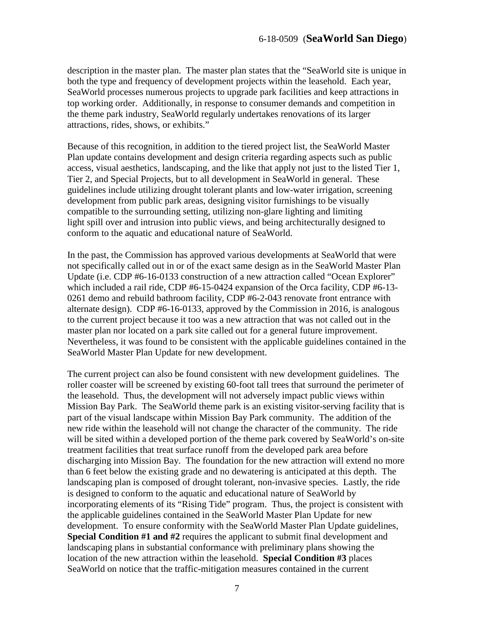description in the master plan. The master plan states that the "SeaWorld site is unique in both the type and frequency of development projects within the leasehold. Each year, SeaWorld processes numerous projects to upgrade park facilities and keep attractions in top working order. Additionally, in response to consumer demands and competition in the theme park industry, SeaWorld regularly undertakes renovations of its larger attractions, rides, shows, or exhibits."

Because of this recognition, in addition to the tiered project list, the SeaWorld Master Plan update contains development and design criteria regarding aspects such as public access, visual aesthetics, landscaping, and the like that apply not just to the listed Tier 1, Tier 2, and Special Projects, but to all development in SeaWorld in general. These guidelines include utilizing drought tolerant plants and low-water irrigation, screening development from public park areas, designing visitor furnishings to be visually compatible to the surrounding setting, utilizing non-glare lighting and limiting light spill over and intrusion into public views, and being architecturally designed to conform to the aquatic and educational nature of SeaWorld.

In the past, the Commission has approved various developments at SeaWorld that were not specifically called out in or of the exact same design as in the SeaWorld Master Plan Update (i.e. CDP #6-16-0133 construction of a new attraction called "Ocean Explorer" which included a rail ride, CDP #6-15-0424 expansion of the Orca facility, CDP #6-13-0261 demo and rebuild bathroom facility, CDP #6-2-043 renovate front entrance with alternate design). CDP #6-16-0133, approved by the Commission in 2016, is analogous to the current project because it too was a new attraction that was not called out in the master plan nor located on a park site called out for a general future improvement. Nevertheless, it was found to be consistent with the applicable guidelines contained in the SeaWorld Master Plan Update for new development.

The current project can also be found consistent with new development guidelines. The roller coaster will be screened by existing 60-foot tall trees that surround the perimeter of the leasehold. Thus, the development will not adversely impact public views within Mission Bay Park. The SeaWorld theme park is an existing visitor-serving facility that is part of the visual landscape within Mission Bay Park community. The addition of the new ride within the leasehold will not change the character of the community. The ride will be sited within a developed portion of the theme park covered by SeaWorld's on-site treatment facilities that treat surface runoff from the developed park area before discharging into Mission Bay. The foundation for the new attraction will extend no more than 6 feet below the existing grade and no dewatering is anticipated at this depth. The landscaping plan is composed of drought tolerant, non-invasive species. Lastly, the ride is designed to conform to the aquatic and educational nature of SeaWorld by incorporating elements of its "Rising Tide" program. Thus, the project is consistent with the applicable guidelines contained in the SeaWorld Master Plan Update for new development. To ensure conformity with the SeaWorld Master Plan Update guidelines, **Special Condition #1 and #2** requires the applicant to submit final development and landscaping plans in substantial conformance with preliminary plans showing the location of the new attraction within the leasehold. **Special Condition #3** places SeaWorld on notice that the traffic-mitigation measures contained in the current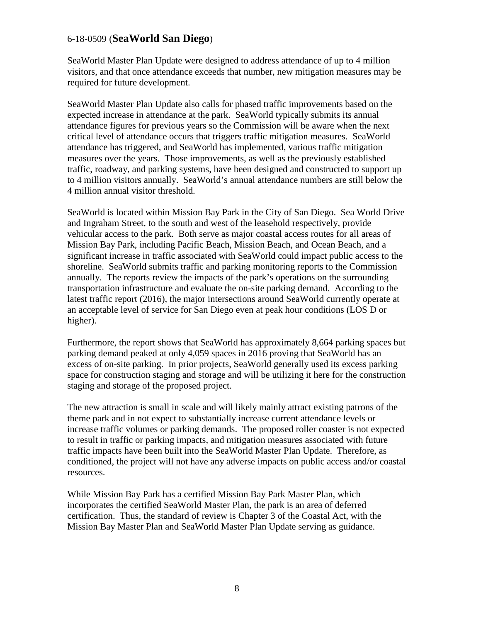SeaWorld Master Plan Update were designed to address attendance of up to 4 million visitors, and that once attendance exceeds that number, new mitigation measures may be required for future development.

SeaWorld Master Plan Update also calls for phased traffic improvements based on the expected increase in attendance at the park. SeaWorld typically submits its annual attendance figures for previous years so the Commission will be aware when the next critical level of attendance occurs that triggers traffic mitigation measures. SeaWorld attendance has triggered, and SeaWorld has implemented, various traffic mitigation measures over the years. Those improvements, as well as the previously established traffic, roadway, and parking systems, have been designed and constructed to support up to 4 million visitors annually. SeaWorld's annual attendance numbers are still below the 4 million annual visitor threshold.

SeaWorld is located within Mission Bay Park in the City of San Diego. Sea World Drive and Ingraham Street, to the south and west of the leasehold respectively, provide vehicular access to the park. Both serve as major coastal access routes for all areas of Mission Bay Park, including Pacific Beach, Mission Beach, and Ocean Beach, and a significant increase in traffic associated with SeaWorld could impact public access to the shoreline. SeaWorld submits traffic and parking monitoring reports to the Commission annually. The reports review the impacts of the park's operations on the surrounding transportation infrastructure and evaluate the on-site parking demand. According to the latest traffic report (2016), the major intersections around SeaWorld currently operate at an acceptable level of service for San Diego even at peak hour conditions (LOS D or higher).

Furthermore, the report shows that SeaWorld has approximately 8,664 parking spaces but parking demand peaked at only 4,059 spaces in 2016 proving that SeaWorld has an excess of on-site parking. In prior projects, SeaWorld generally used its excess parking space for construction staging and storage and will be utilizing it here for the construction staging and storage of the proposed project.

The new attraction is small in scale and will likely mainly attract existing patrons of the theme park and in not expect to substantially increase current attendance levels or increase traffic volumes or parking demands. The proposed roller coaster is not expected to result in traffic or parking impacts, and mitigation measures associated with future traffic impacts have been built into the SeaWorld Master Plan Update. Therefore, as conditioned, the project will not have any adverse impacts on public access and/or coastal resources.

While Mission Bay Park has a certified Mission Bay Park Master Plan, which incorporates the certified SeaWorld Master Plan, the park is an area of deferred certification. Thus, the standard of review is Chapter 3 of the Coastal Act, with the Mission Bay Master Plan and SeaWorld Master Plan Update serving as guidance.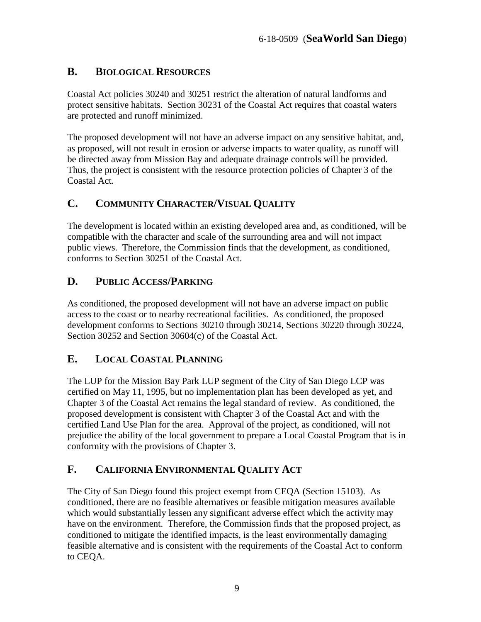## <span id="page-8-0"></span>**B. BIOLOGICAL RESOURCES**

Coastal Act policies 30240 and 30251 restrict the alteration of natural landforms and protect sensitive habitats. Section 30231 of the Coastal Act requires that coastal waters are protected and runoff minimized.

The proposed development will not have an adverse impact on any sensitive habitat, and, as proposed, will not result in erosion or adverse impacts to water quality, as runoff will be directed away from Mission Bay and adequate drainage controls will be provided. Thus, the project is consistent with the resource protection policies of Chapter 3 of the Coastal Act.

## <span id="page-8-1"></span>**C. COMMUNITY CHARACTER/VISUAL QUALITY**

The development is located within an existing developed area and, as conditioned, will be compatible with the character and scale of the surrounding area and will not impact public views. Therefore, the Commission finds that the development, as conditioned, conforms to Section 30251 of the Coastal Act.

## <span id="page-8-2"></span>**D. PUBLIC ACCESS/PARKING**

As conditioned, the proposed development will not have an adverse impact on public access to the coast or to nearby recreational facilities. As conditioned, the proposed development conforms to Sections 30210 through 30214, Sections 30220 through 30224, Section 30252 and Section 30604(c) of the Coastal Act.

## <span id="page-8-3"></span>**E. LOCAL COASTAL PLANNING**

The LUP for the Mission Bay Park LUP segment of the City of San Diego LCP was certified on May 11, 1995, but no implementation plan has been developed as yet, and Chapter 3 of the Coastal Act remains the legal standard of review. As conditioned, the proposed development is consistent with Chapter 3 of the Coastal Act and with the certified Land Use Plan for the area. Approval of the project, as conditioned, will not prejudice the ability of the local government to prepare a Local Coastal Program that is in conformity with the provisions of Chapter 3.

## <span id="page-8-4"></span>**F. CALIFORNIA ENVIRONMENTAL QUALITY ACT**

The City of San Diego found this project exempt from CEQA (Section 15103). As conditioned, there are no feasible alternatives or feasible mitigation measures available which would substantially lessen any significant adverse effect which the activity may have on the environment. Therefore, the Commission finds that the proposed project, as conditioned to mitigate the identified impacts, is the least environmentally damaging feasible alternative and is consistent with the requirements of the Coastal Act to conform to CEQA.